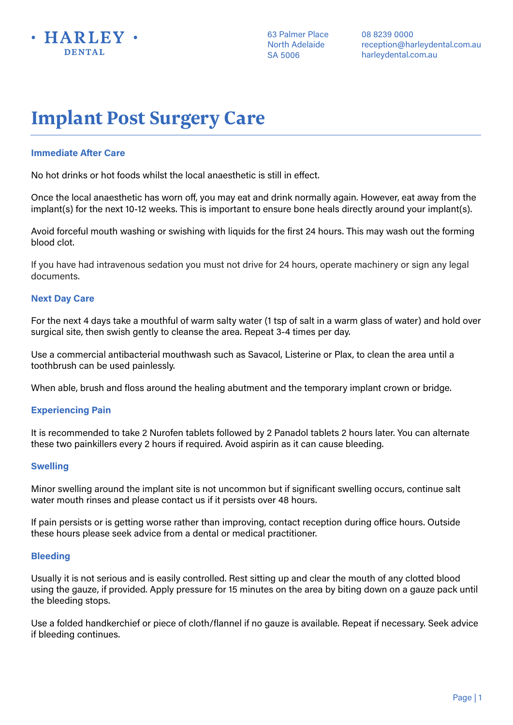

08 8239 0000 reception@harleydental.com.au harleydental.com.au

# **Implant Post Surgery Care**

## **Immediate After Care**

No hot drinks or hot foods whilst the local anaesthetic is still in effect.

Once the local anaesthetic has worn off, you may eat and drink normally again. However, eat away from the implant(s) for the next 10-12 weeks. This is important to ensure bone heals directly around your implant(s).

Avoid forceful mouth washing or swishing with liquids for the first 24 hours. This may wash out the forming blood clot.

If you have had intravenous sedation you must not drive for 24 hours, operate machinery or sign any legal documents.

### **Next Day Care**

For the next 4 days take a mouthful of warm salty water (1 tsp of salt in a warm glass of water) and hold over surgical site, then swish gently to cleanse the area. Repeat 3-4 times per day.

Use a commercial antibacterial mouthwash such as Savacol, Listerine or Plax, to clean the area until a toothbrush can be used painlessly.

When able, brush and floss around the healing abutment and the temporary implant crown or bridge.

## **Experiencing Pain**

It is recommended to take 2 Nurofen tablets followed by 2 Panadol tablets 2 hours later. You can alternate these two painkillers every 2 hours if required. Avoid aspirin as it can cause bleeding.

#### **Swelling**

Minor swelling around the implant site is not uncommon but if significant swelling occurs, continue salt water mouth rinses and please contact us if it persists over 48 hours.

If pain persists or is getting worse rather than improving, contact reception during office hours. Outside these hours please seek advice from a dental or medical practitioner.

#### **Bleeding**

Usually it is not serious and is easily controlled. Rest sitting up and clear the mouth of any clotted blood using the gauze, if provided. Apply pressure for 15 minutes on the area by biting down on a gauze pack until the bleeding stops.

Use a folded handkerchief or piece of cloth/flannel if no gauze is available. Repeat if necessary. Seek advice if bleeding continues.